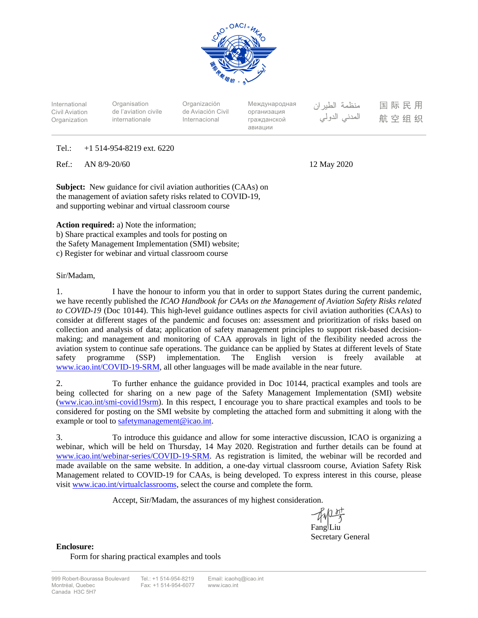

International Civil Aviation Organization

**Organisation** de l'aviation civile internationale

Organización de Aviación Civil Internacional

Международная организация гражданской авиации

منظمة الطيران المدنى الدولى

国际民用 航空组织

## Tel.: +1 514-954-8219 ext. 6220

Ref.: AN 8/9-20/60 12 May 2020

**Subject:** New guidance for civil aviation authorities (CAAs) on the management of aviation safety risks related to COVID-19, and supporting webinar and virtual classroom course

**Action required:** a) Note the information; b) Share practical examples and tools for posting on the Safety Management Implementation (SMI) website; c) Register for webinar and virtual classroom course

## Sir/Madam,

1. I have the honour to inform you that in order to support States during the current pandemic, we have recently published the *ICAO Handbook for CAAs on the Management of Aviation Safety Risks related to COVID-19* (Doc 10144). This high-level guidance outlines aspects for civil aviation authorities (CAAs) to consider at different stages of the pandemic and focuses on: assessment and prioritization of risks based on collection and analysis of data; application of safety management principles to support risk-based decisionmaking; and management and monitoring of CAA approvals in light of the flexibility needed across the aviation system to continue safe operations. The guidance can be applied by States at different levels of State safety programme (SSP) implementation. The English version is freely available at [www.icao.int/COVID-19-SRM,](http://www.icao.int/COVID-19-SRM) all other languages will be made available in the near future.

2. To further enhance the guidance provided in Doc 10144, practical examples and tools are being collected for sharing on a new page of the Safety Management Implementation (SMI) website [\(www.icao.int/smi-covid19srm\)](http://www.icao.int/smi-covid19srm). In this respect, I encourage you to share practical examples and tools to be considered for posting on the SMI website by completing the attached form and submitting it along with the example or tool to [safetymanagement@icao.int.](mailto:safetymanagement@icao.int)

3. To introduce this guidance and allow for some interactive discussion, ICAO is organizing a webinar, which will be held on Thursday, 14 May 2020. Registration and further details can be found at [www.icao.int/webinar-series/COVID-19-SRM.](http://www.icao.int/webinar-series/COVID-19-SRM) As registration is limited, the webinar will be recorded and made available on the same website. In addition, a one-day virtual classroom course, Aviation Safety Risk Management related to COVID-19 for CAAs, is being developed. To express interest in this course, please visi[t www.icao.int/virtualclassrooms,](http://www.icao.int/virtualclassrooms) select the course and complete the form.

Accept, Sir/Madam, the assurances of my highest consideration.

Fang*Liu* 

Secretary General

**Enclosure:** Form for sharing practical examples and tools